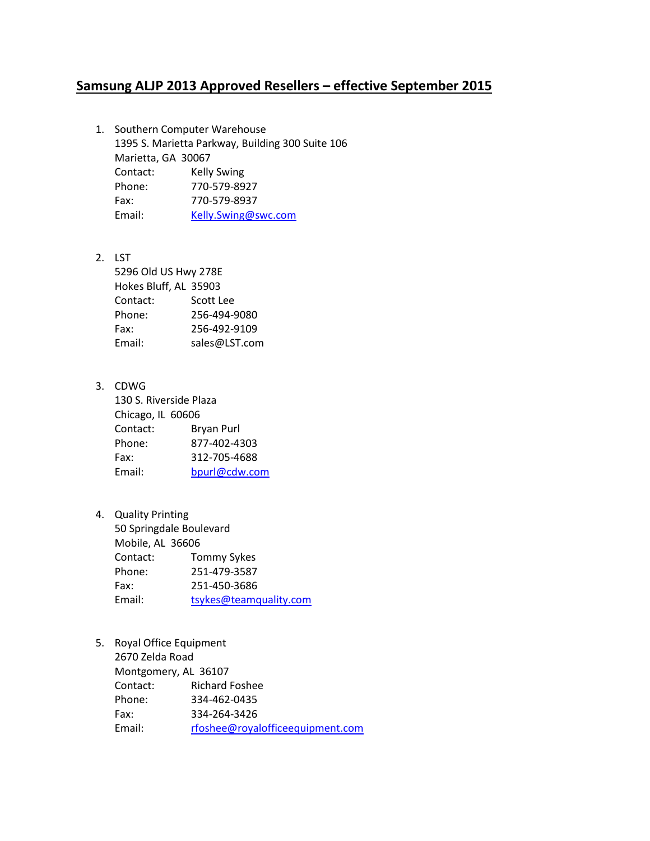## **Samsung ALJP 2013 Approved Resellers – effective September 2015**

- 1. Southern Computer Warehouse 1395 S. Marietta Parkway, Building 300 Suite 106 Marietta, GA 30067 Contact: Kelly Swing Phone: 770-579-8927 Fax: 770-579-8937 Email: [Kelly.Swing@swc.com](mailto:Kelly.Swing@swc.com)
- 2. LST

5296 Old US Hwy 278E Hokes Bluff, AL 35903 Contact: Scott Lee Phone: 256-494-9080 Fax: 256-492-9109 Email: sales@LST.com

- 3. CDWG 130 S. Riverside Plaza Chicago, IL 60606 Contact: Bryan Purl Phone: 877-402-4303 Fax: 312-705-4688 Email: [bpurl@cdw.com](mailto:bpurl@cdw.com)
- 4. Quality Printing 50 Springdale Boulevard Mobile, AL 36606 Contact: Tommy Sykes Phone: 251-479-3587 Fax: 251-450-3686 Email: [tsykes@teamquality.com](mailto:tsykes@teamquality.com)
- 5. Royal Office Equipment 2670 Zelda Road Montgomery, AL 36107 Contact: Richard Foshee Phone: 334-462-0435 Fax: 334-264-3426 Email: [rfoshee@royalofficeequipment.com](mailto:rfoshee@royalofficeequipment.com)